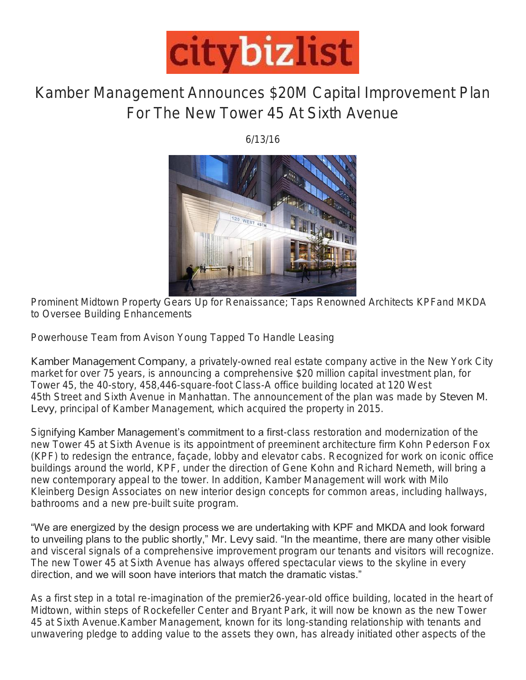

## Kamber Management Announces \$20M Capital Improvement Plan For The New Tower 45 At Sixth Avenue

6/13/16



*Prominent Midtown Property Gears Up for Renaissance; Taps Renowned Architects KPFand MKDA to Oversee Building Enhancements*

*Powerhouse Team from Avison Young Tapped To Handle Leasing*

Kamber Management Company, a privately-owned real estate company active in the New York City market for over 75 years, is announcing a comprehensive \$20 million capital investment plan, for Tower 45, the 40-story, 458,446-square-foot Class-A office building located at 120 West 45th Street and Sixth Avenue in Manhattan. The announcement of the plan was made by Steven M. Levy, principal of Kamber Management, which acquired the property in 2015.

Signifying Kamber Management's commitment to a first-class restoration and modernization of the new Tower 45 at Sixth Avenue is its appointment of preeminent architecture firm Kohn Pederson Fox (KPF) to redesign the entrance, façade, lobby and elevator cabs. Recognized for work on iconic office buildings around the world, KPF, under the direction of Gene Kohn and Richard Nemeth, will bring a new contemporary appeal to the tower. In addition, Kamber Management will work with Milo Kleinberg Design Associates on new interior design concepts for common areas, including hallways, bathrooms and a new pre-built suite program.

"We are energized by the design process we are undertaking with KPF and MKDA and look forward to unveiling plans to the public shortly," Mr. Levy said. "In the meantime, there are many other visible and visceral signals of a comprehensive improvement program our tenants and visitors will recognize. The new Tower 45 at Sixth Avenue has always offered spectacular views to the skyline in every direction, and we will soon have interiors that match the dramatic vistas."

As a first step in a total re-imagination of the premier26-year-old office building, located in the heart of Midtown, within steps of Rockefeller Center and Bryant Park, it will now be known as the new Tower 45 at Sixth Avenue.Kamber Management, known for its long-standing relationship with tenants and unwavering pledge to adding value to the assets they own, has already initiated other aspects of the